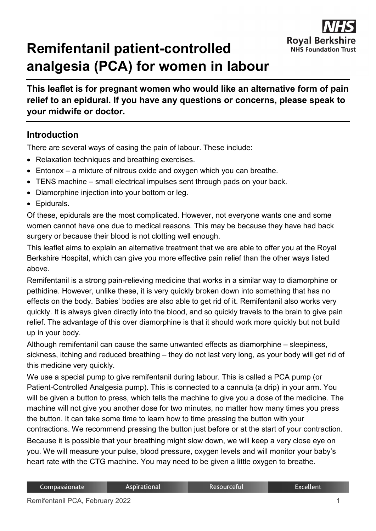

## **Remifentanil patient-controlled analgesia (PCA) for women in labour**

**This leaflet is for pregnant women who would like an alternative form of pain relief to an epidural. If you have any questions or concerns, please speak to your midwife or doctor.**

## **Introduction**

There are several ways of easing the pain of labour. These include:

- Relaxation techniques and breathing exercises.
- Entonox a mixture of nitrous oxide and oxygen which you can breathe.
- TENS machine small electrical impulses sent through pads on your back.
- Diamorphine injection into your bottom or leg.
- Epidurals.

Of these, epidurals are the most complicated. However, not everyone wants one and some women cannot have one due to medical reasons. This may be because they have had back surgery or because their blood is not clotting well enough.

This leaflet aims to explain an alternative treatment that we are able to offer you at the Royal Berkshire Hospital, which can give you more effective pain relief than the other ways listed above.

Remifentanil is a strong pain-relieving medicine that works in a similar way to diamorphine or pethidine. However, unlike these, it is very quickly broken down into something that has no effects on the body. Babies' bodies are also able to get rid of it. Remifentanil also works very quickly. It is always given directly into the blood, and so quickly travels to the brain to give pain relief. The advantage of this over diamorphine is that it should work more quickly but not build up in your body.

Although remifentanil can cause the same unwanted effects as diamorphine – sleepiness, sickness, itching and reduced breathing – they do not last very long, as your body will get rid of this medicine very quickly.

We use a special pump to give remifentanil during labour. This is called a PCA pump (or Patient-Controlled Analgesia pump). This is connected to a cannula (a drip) in your arm. You will be given a button to press, which tells the machine to give you a dose of the medicine. The machine will not give you another dose for two minutes, no matter how many times you press the button. It can take some time to learn how to time pressing the button with your contractions. We recommend pressing the button just before or at the start of your contraction. Because it is possible that your breathing might slow down, we will keep a very close eye on you. We will measure your pulse, blood pressure, oxygen levels and will monitor your baby's heart rate with the CTG machine. You may need to be given a little oxygen to breathe.